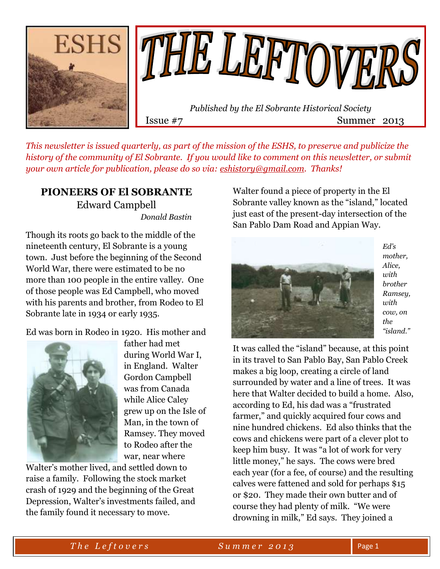

*This newsletter is issued quarterly, as part of the mission of the ESHS, to preserve and publicize the history of the community of El Sobrante. If you would like to comment on this newsletter, or submit your own article for publication, please do so via: [eshistory@gmail.com.](mailto:eshistory@gmail.com) Thanks!*

### **PIONEERS OF El SOBRANTE** Edward Campbell  *Donald Bastin*

Though its roots go back to the middle of the nineteenth century, El Sobrante is a young town. Just before the beginning of the Second World War, there were estimated to be no more than 100 people in the entire valley. One of those people was Ed Campbell, who moved with his parents and brother, from Rodeo to El Sobrante late in 1934 or early 1935.

Ed was born in Rodeo in 1920. His mother and



father had met during World War I, in England. Walter Gordon Campbell was from Canada while Alice Caley grew up on the Isle of Man, in the town of Ramsey. They moved to Rodeo after the war, near where

Walter's mother lived, and settled down to raise a family. Following the stock market crash of 1929 and the beginning of the Great Depression, Walter's investments failed, and the family found it necessary to move.

Walter found a piece of property in the El Sobrante valley known as the "island," located just east of the present-day intersection of the San Pablo Dam Road and Appian Way.



*Ed's mother, Alice, with brother Ramsey, with cow, on the "island."*

It was called the "island" because, at this point in its travel to San Pablo Bay, San Pablo Creek makes a big loop, creating a circle of land surrounded by water and a line of trees. It was here that Walter decided to build a home. Also, according to Ed, his dad was a "frustrated farmer," and quickly acquired four cows and nine hundred chickens. Ed also thinks that the cows and chickens were part of a clever plot to keep him busy. It was "a lot of work for very little money," he says. The cows were bred each year (for a fee, of course) and the resulting calves were fattened and sold for perhaps \$15 or \$20. They made their own butter and of course they had plenty of milk. "We were drowning in milk," Ed says. They joined a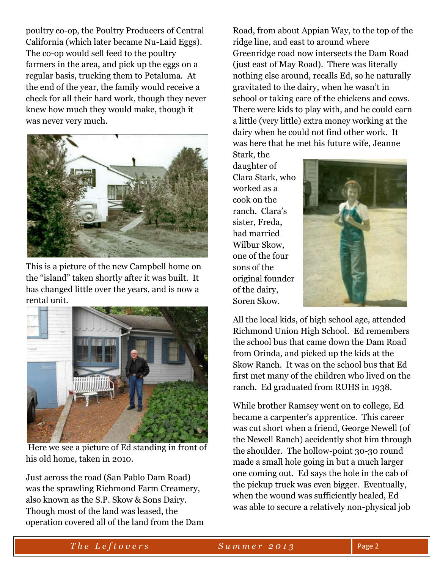poultry co-op, the Poultry Producers of Central California (which later became Nu-Laid Eggs). The co-op would sell feed to the poultry farmers in the area, and pick up the eggs on a regular basis, trucking them to Petaluma. At the end of the year, the family would receive a check for all their hard work, though they never knew how much they would make, though it was never very much.



This is a picture of the new Campbell home on the "island" taken shortly after it was built. It has changed little over the years, and is now a rental unit.



Here we see a picture of Ed standing in front of his old home, taken in 2010.

Just across the road (San Pablo Dam Road) was the sprawling Richmond Farm Creamery, also known as the S.P. Skow & Sons Dairy. Though most of the land was leased, the operation covered all of the land from the Dam

Road, from about Appian Way, to the top of the ridge line, and east to around where Greenridge road now intersects the Dam Road (just east of May Road). There was literally nothing else around, recalls Ed, so he naturally gravitated to the dairy, when he wasn't in school or taking care of the chickens and cows. There were kids to play with, and he could earn a little (very little) extra money working at the dairy when he could not find other work. It was here that he met his future wife, Jeanne

Stark, the daughter of Clara Stark, who worked as a cook on the ranch. Clara's sister, Freda, had married Wilbur Skow, one of the four sons of the original founder of the dairy, Soren Skow.



All the local kids, of high school age, attended Richmond Union High School. Ed remembers the school bus that came down the Dam Road from Orinda, and picked up the kids at the Skow Ranch. It was on the school bus that Ed first met many of the children who lived on the ranch. Ed graduated from RUHS in 1938.

While brother Ramsey went on to college, Ed became a carpenter's apprentice. This career was cut short when a friend, George Newell (of the Newell Ranch) accidently shot him through the shoulder. The hollow-point 30-30 round made a small hole going in but a much larger one coming out. Ed says the hole in the cab of the pickup truck was even bigger. Eventually, when the wound was sufficiently healed, Ed was able to secure a relatively non-physical job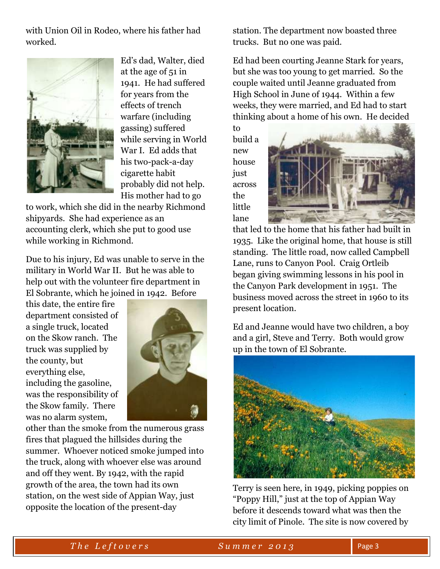with Union Oil in Rodeo, where his father had worked.



Ed's dad, Walter, died at the age of 51 in 1941. He had suffered for years from the effects of trench warfare (including gassing) suffered while serving in World War I. Ed adds that his two-pack-a-day cigarette habit probably did not help. His mother had to go

to work, which she did in the nearby Richmond shipyards. She had experience as an accounting clerk, which she put to good use while working in Richmond.

Due to his injury, Ed was unable to serve in the military in World War II. But he was able to help out with the volunteer fire department in El Sobrante, which he joined in 1942. Before

this date, the entire fire department consisted of a single truck, located on the Skow ranch. The truck was supplied by the county, but everything else, including the gasoline, was the responsibility of the Skow family. There was no alarm system,



other than the smoke from the numerous grass fires that plagued the hillsides during the summer. Whoever noticed smoke jumped into the truck, along with whoever else was around and off they went. By 1942, with the rapid growth of the area, the town had its own station, on the west side of Appian Way, just opposite the location of the present-day

station. The department now boasted three trucks. But no one was paid.

Ed had been courting Jeanne Stark for years, but she was too young to get married. So the couple waited until Jeanne graduated from High School in June of 1944. Within a few weeks, they were married, and Ed had to start thinking about a home of his own. He decided

to build a new house just across the little lane



that led to the home that his father had built in 1935. Like the original home, that house is still standing. The little road, now called Campbell Lane, runs to Canyon Pool. Craig Ortleib began giving swimming lessons in his pool in the Canyon Park development in 1951. The business moved across the street in 1960 to its present location.

Ed and Jeanne would have two children, a boy and a girl, Steve and Terry. Both would grow up in the town of El Sobrante.



Terry is seen here, in 1949, picking poppies on "Poppy Hill," just at the top of Appian Way before it descends toward what was then the city limit of Pinole. The site is now covered by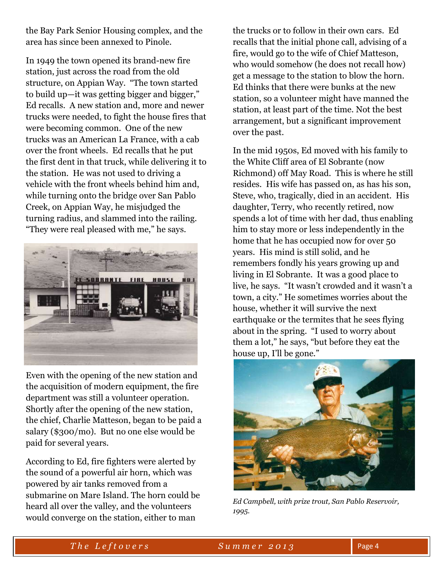the Bay Park Senior Housing complex, and the area has since been annexed to Pinole.

In 1949 the town opened its brand-new fire station, just across the road from the old structure, on Appian Way. "The town started to build up—it was getting bigger and bigger," Ed recalls. A new station and, more and newer trucks were needed, to fight the house fires that were becoming common. One of the new trucks was an American La France, with a cab over the front wheels. Ed recalls that he put the first dent in that truck, while delivering it to the station. He was not used to driving a vehicle with the front wheels behind him and, while turning onto the bridge over San Pablo Creek, on Appian Way, he misjudged the turning radius, and slammed into the railing. "They were real pleased with me," he says.



Even with the opening of the new station and the acquisition of modern equipment, the fire department was still a volunteer operation. Shortly after the opening of the new station, the chief, Charlie Matteson, began to be paid a salary (\$300/mo). But no one else would be paid for several years.

According to Ed, fire fighters were alerted by the sound of a powerful air horn, which was powered by air tanks removed from a submarine on Mare Island. The horn could be heard all over the valley, and the volunteers would converge on the station, either to man

the trucks or to follow in their own cars. Ed recalls that the initial phone call, advising of a fire, would go to the wife of Chief Matteson, who would somehow (he does not recall how) get a message to the station to blow the horn. Ed thinks that there were bunks at the new station, so a volunteer might have manned the station, at least part of the time. Not the best arrangement, but a significant improvement over the past.

In the mid 1950s, Ed moved with his family to the White Cliff area of El Sobrante (now Richmond) off May Road. This is where he still resides. His wife has passed on, as has his son, Steve, who, tragically, died in an accident. His daughter, Terry, who recently retired, now spends a lot of time with her dad, thus enabling him to stay more or less independently in the home that he has occupied now for over 50 years. His mind is still solid, and he remembers fondly his years growing up and living in El Sobrante. It was a good place to live, he says. "It wasn't crowded and it wasn't a town, a city." He sometimes worries about the house, whether it will survive the next earthquake or the termites that he sees flying about in the spring. "I used to worry about them a lot," he says, "but before they eat the house up, I'll be gone."



*Ed Campbell, with prize trout, San Pablo Reservoir, 1995.*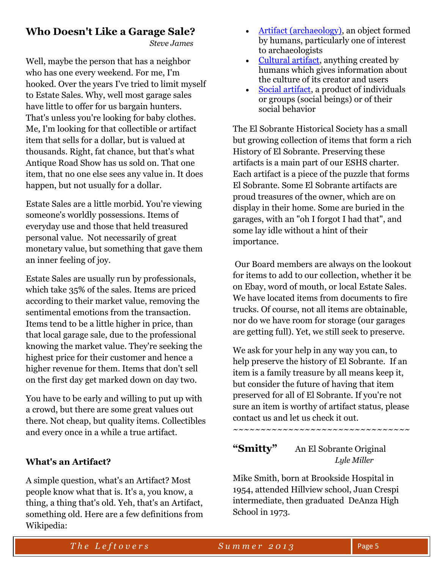# **Who Doesn't Like a Garage Sale?**

 *Steve James*

Well, maybe the person that has a neighbor who has one every weekend. For me, I'm hooked. Over the years I've tried to limit myself to Estate Sales. Why, well most garage sales have little to offer for us bargain hunters. That's unless you're looking for baby clothes. Me, I'm looking for that collectible or artifact item that sells for a dollar, but is valued at thousands. Right, fat chance, but that's what Antique Road Show has us sold on. That one item, that no one else sees any value in. It does happen, but not usually for a dollar.

Estate Sales are a little morbid. You're viewing someone's worldly possessions. Items of everyday use and those that held treasured personal value. Not necessarily of great monetary value, but something that gave them an inner feeling of joy.

Estate Sales are usually run by professionals, which take 35% of the sales. Items are priced according to their market value, removing the sentimental emotions from the transaction. Items tend to be a little higher in price, than that local garage sale, due to the professional knowing the market value. They're seeking the highest price for their customer and hence a higher revenue for them. Items that don't sell on the first day get marked down on day two.

You have to be early and willing to put up with a crowd, but there are some great values out there. Not cheap, but quality items. Collectibles and every once in a while a true artifact.

### **What's an Artifact?**

A simple question, what's an Artifact? Most people know what that is. It's a, you know, a thing, a thing that's old. Yeh, that's an Artifact, something old. Here are a few definitions from Wikipedia:

- [Artifact \(archaeology\),](http://en.wikipedia.org/wiki/Artifact_(archaeology)) an object formed by humans, particularly one of interest to archaeologists
- [Cultural artifact,](http://en.wikipedia.org/wiki/Cultural_artifact) anything created by humans which gives information about the culture of its creator and users
- [Social artifact,](http://en.wikipedia.org/wiki/Social_artifact) a product of individuals or groups (social beings) or of their social behavior

The El Sobrante Historical Society has a small but growing collection of items that form a rich History of El Sobrante. Preserving these artifacts is a main part of our ESHS charter. Each artifact is a piece of the puzzle that forms El Sobrante. Some El Sobrante artifacts are proud treasures of the owner, which are on display in their home. Some are buried in the garages, with an "oh I forgot I had that", and some lay idle without a hint of their importance.

Our Board members are always on the lookout for items to add to our collection, whether it be on Ebay, word of mouth, or local Estate Sales. We have located items from documents to fire trucks. Of course, not all items are obtainable, nor do we have room for storage (our garages are getting full). Yet, we still seek to preserve.

We ask for your help in any way you can, to help preserve the history of El Sobrante. If an item is a family treasure by all means keep it, but consider the future of having that item preserved for all of El Sobrante. If you're not sure an item is worthy of artifact status, please contact us and let us check it out.

~~~~~~~~~~~~~~~~~~~~~~~~~~~~~~~~

# **"Smitty"** An El Sobrante Original *Lyle Miller*

Mike Smith, born at Brookside Hospital in 1954, attended Hillview school, Juan Crespi intermediate, then graduated DeAnza High School in 1973.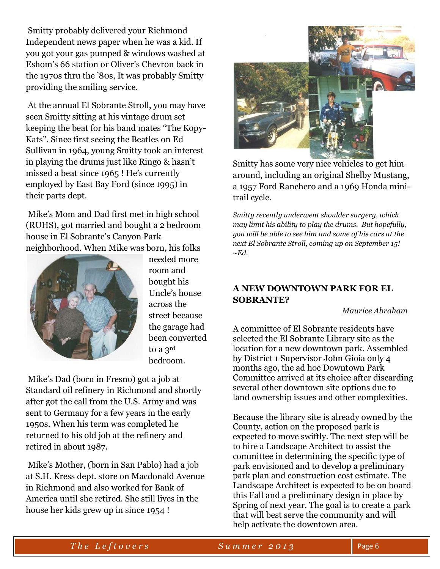Smitty probably delivered your Richmond Independent news paper when he was a kid. If you got your gas pumped & windows washed at Eshom's 66 station or Oliver's Chevron back in the 1970s thru the '80s, It was probably Smitty providing the smiling service.

At the annual El Sobrante Stroll, you may have seen Smitty sitting at his vintage drum set keeping the beat for his band mates "The Kopy-Kats". Since first seeing the Beatles on Ed Sullivan in 1964, young Smitty took an interest in playing the drums just like Ringo & hasn't missed a beat since 1965 ! He's currently employed by East Bay Ford (since 1995) in their parts dept.

Mike's Mom and Dad first met in high school (RUHS), got married and bought a 2 bedroom house in El Sobrante's Canyon Park neighborhood. When Mike was born, his folks



needed more room and bought his Uncle's house across the street because the garage had been converted to a 3rd bedroom.

Mike's Dad (born in Fresno) got a job at Standard oil refinery in Richmond and shortly after got the call from the U.S. Army and was sent to Germany for a few years in the early 1950s. When his term was completed he returned to his old job at the refinery and retired in about 1987.

Mike's Mother, (born in San Pablo) had a job at S.H. Kress dept. store on Macdonald Avenue in Richmond and also worked for Bank of America until she retired. She still lives in the house her kids grew up in since 1954 !



Smitty has some very nice vehicles to get him around, including an original Shelby Mustang, a 1957 Ford Ranchero and a 1969 Honda minitrail cycle.

*Smitty recently underwent shoulder surgery, which may limit his ability to play the drums. But hopefully, you will be able to see him and some of his cars at the next El Sobrante Stroll, coming up on September 15! ~Ed.* 

### **A NEW DOWNTOWN PARK FOR EL SOBRANTE?**

 *Maurice Abraham*

A committee of El Sobrante residents have selected the El Sobrante Library site as the location for a new downtown park. Assembled by District 1 Supervisor John Gioia only 4 months ago, the ad hoc Downtown Park Committee arrived at its choice after discarding several other downtown site options due to land ownership issues and other complexities.

Because the library site is already owned by the County, action on the proposed park is expected to move swiftly. The next step will be to hire a Landscape Architect to assist the committee in determining the specific type of park envisioned and to develop a preliminary park plan and construction cost estimate. The Landscape Architect is expected to be on board this Fall and a preliminary design in place by Spring of next year. The goal is to create a park that will best serve the community and will help activate the downtown area.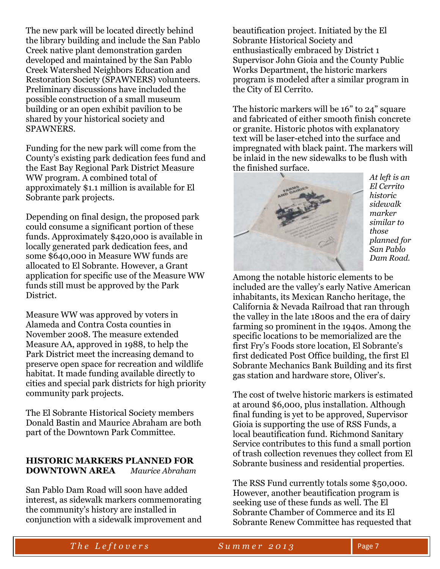The new park will be located directly behind the library building and include the San Pablo Creek native plant demonstration garden developed and maintained by the San Pablo Creek Watershed Neighbors Education and Restoration Society (SPAWNERS) volunteers. Preliminary discussions have included the possible construction of a small museum building or an open exhibit pavilion to be shared by your historical society and SPAWNERS.

Funding for the new park will come from the County's existing park dedication fees fund and the East Bay Regional Park District Measure WW program. A combined total of approximately \$1.1 million is available for El Sobrante park projects.

Depending on final design, the proposed park could consume a significant portion of these funds. Approximately \$420,000 is available in locally generated park dedication fees, and some \$640,000 in Measure WW funds are allocated to El Sobrante. However, a Grant application for specific use of the Measure WW funds still must be approved by the Park District.

Measure WW was approved by voters in Alameda and Contra Costa counties in November 2008. The measure extended Measure AA, approved in 1988, to help the Park District meet the increasing demand to preserve open space for recreation and wildlife habitat. It made funding available directly to cities and special park districts for high priority community park projects.

The El Sobrante Historical Society members Donald Bastin and Maurice Abraham are both part of the Downtown Park Committee.

#### **HISTORIC MARKERS PLANNED FOR DOWNTOWN AREA** *Maurice Abraham*

San Pablo Dam Road will soon have added interest, as sidewalk markers commemorating the community's history are installed in conjunction with a sidewalk improvement and

beautification project. Initiated by the El Sobrante Historical Society and enthusiastically embraced by District 1 Supervisor John Gioia and the County Public Works Department, the historic markers program is modeled after a similar program in the City of El Cerrito.

The historic markers will be 16" to 24" square and fabricated of either smooth finish concrete or granite. Historic photos with explanatory text will be laser-etched into the surface and impregnated with black paint. The markers will be inlaid in the new sidewalks to be flush with the finished surface.



*At left is an El Cerrito historic sidewalk marker similar to those planned for San Pablo Dam Road.*

Among the notable historic elements to be included are the valley's early Native American inhabitants, its Mexican Rancho heritage, the California & Nevada Railroad that ran through the valley in the late 1800s and the era of dairy farming so prominent in the 1940s. Among the specific locations to be memorialized are the first Fry's Foods store location, El Sobrante's first dedicated Post Office building, the first El Sobrante Mechanics Bank Building and its first gas station and hardware store, Oliver's.

The cost of twelve historic markers is estimated at around \$6,000, plus installation. Although final funding is yet to be approved, Supervisor Gioia is supporting the use of RSS Funds, a local beautification fund. Richmond Sanitary Service contributes to this fund a small portion of trash collection revenues they collect from El Sobrante business and residential properties.

The RSS Fund currently totals some \$50,000. However, another beautification program is seeking use of these funds as well. The El Sobrante Chamber of Commerce and its El Sobrante Renew Committee has requested that